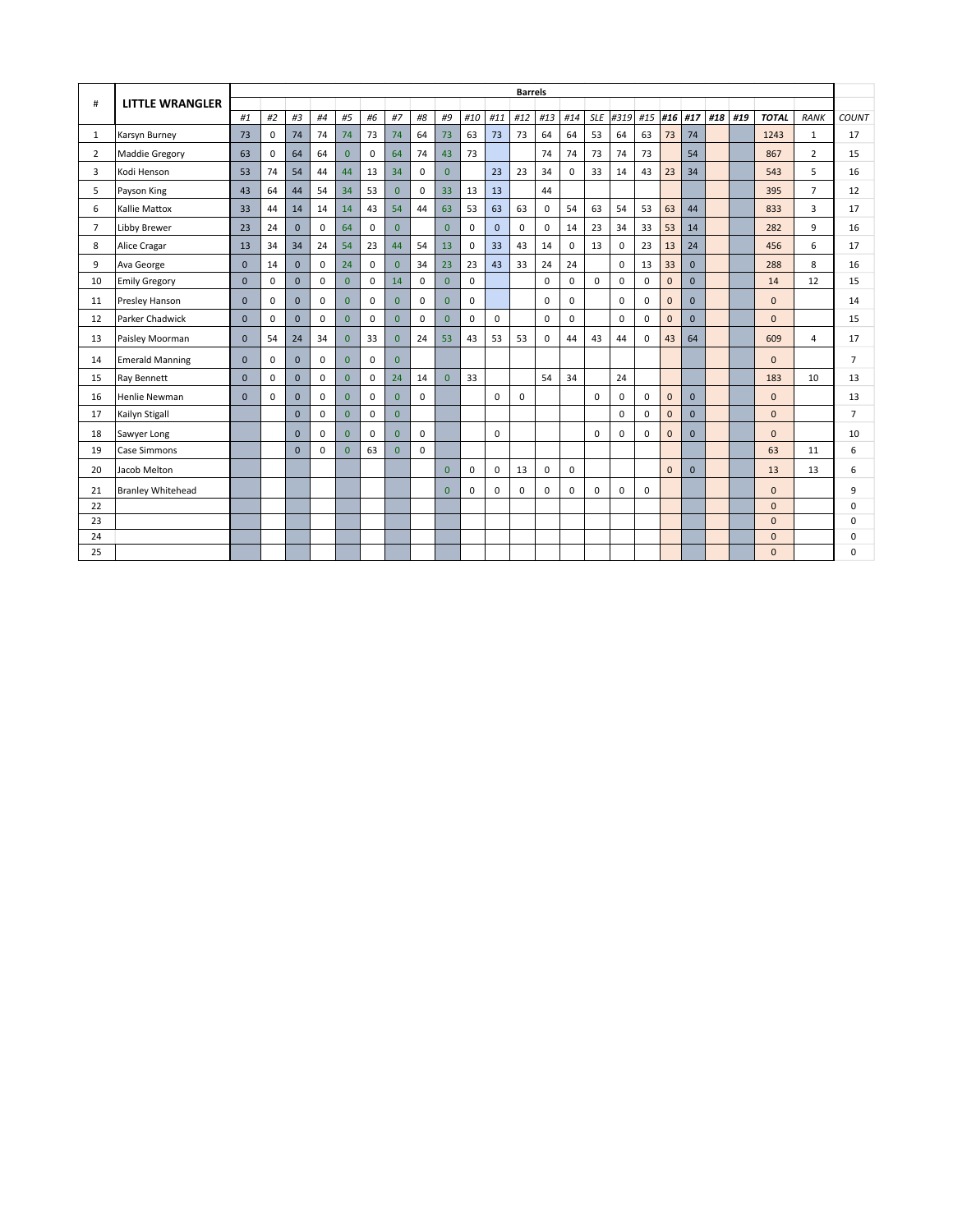|                |                          |              |              |              |             |                |             |                |              |              |             |              | <b>Barrels</b> |             |             |             |             |             |              |              |     |     |              |                |                |
|----------------|--------------------------|--------------|--------------|--------------|-------------|----------------|-------------|----------------|--------------|--------------|-------------|--------------|----------------|-------------|-------------|-------------|-------------|-------------|--------------|--------------|-----|-----|--------------|----------------|----------------|
| #              | <b>LITTLE WRANGLER</b>   | #1           | #2           | #3           | #4          | #5             | #6          | #7             | #8           | #9           | #10         | #11          | #12            | #13         | #14         | <b>SLE</b>  | #319        | #15         | #16          | #17          | #18 | #19 | <b>TOTAL</b> | <b>RANK</b>    | <b>COUNT</b>   |
| 1              | Karsyn Burney            | 73           | $\mathbf 0$  | 74           | 74          | 74             | 73          | 74             | 64           | 73           | 63          | 73           | 73             | 64          | 64          | 53          | 64          | 63          | 73           | 74           |     |     | 1243         | $\mathbf{1}$   | 17             |
| 2              | Maddie Gregory           | 63           | $\mathbf 0$  | 64           | 64          | $\overline{0}$ | $\mathbf 0$ | 64             | 74           | 43           | 73          |              |                | 74          | 74          | 73          | 74          | 73          |              | 54           |     |     | 867          | $\overline{2}$ | 15             |
| 3              | Kodi Henson              | 53           | 74           | 54           | 44          | 44             | 13          | 34             | $\mathbf 0$  | $\Omega$     |             | 23           | 23             | 34          | $\mathbf 0$ | 33          | 14          | 43          | 23           | 34           |     |     | 543          | 5.             | 16             |
| 5              | Payson King              | 43           | 64           | 44           | 54          | 34             | 53          | $\overline{0}$ | $\mathbf 0$  | 33           | 13          | 13           |                | 44          |             |             |             |             |              |              |     |     | 395          | $\overline{7}$ | 12             |
| 6              | <b>Kallie Mattox</b>     | 33           | 44           | 14           | 14          | 14             | 43          | 54             | 44           | 63           | 53          | 63           | 63             | $\mathbf 0$ | 54          | 63          | 54          | 53          | 63           | 44           |     |     | 833          | 3              | 17             |
| $\overline{7}$ | Libby Brewer             | 23           | 24           | $\mathbf{0}$ | $\mathbf 0$ | 64             | $\mathbf 0$ | $\overline{0}$ |              | $\mathbf{0}$ | $\mathbf 0$ | $\mathbf{0}$ | $\mathbf 0$    | $\mathbf 0$ | 14          | 23          | 34          | 33          | 53           | 14           |     |     | 282          | 9              | 16             |
| 8              | Alice Cragar             | 13           | 34           | 34           | 24          | 54             | 23          | 44             | 54           | 13           | $\mathbf 0$ | 33           | 43             | 14          | 0           | 13          | $\mathbf 0$ | 23          | 13           | 24           |     |     | 456          | 6              | 17             |
| 9              | Ava George               | $\mathbf{0}$ | 14           | $\mathbf{0}$ | $\mathbf 0$ | 24             | $\mathbf 0$ | $\overline{0}$ | 34           | 23           | 23          | 43           | 33             | 24          | 24          |             | $\mathbf 0$ | 13          | 33           | $\mathbf{0}$ |     |     | 288          | 8              | 16             |
| 10             | <b>Emily Gregory</b>     | $\Omega$     | $\mathbf{0}$ | $\Omega$     | $\mathbf 0$ | $\overline{0}$ | $\mathbf 0$ | 14             | $\mathbf 0$  | $\Omega$     | $\mathbf 0$ |              |                | $\mathbf 0$ | $\mathbf 0$ | $\Omega$    | $\mathbf 0$ | $\mathbf 0$ | $\mathbf{0}$ | $\Omega$     |     |     | 14           | 12             | 15             |
| 11             | Presley Hanson           | $\Omega$     | $\mathbf 0$  | $\mathbf{0}$ | 0           | $\overline{0}$ | $\mathbf 0$ | $\overline{0}$ | 0            | $\Omega$     | 0           |              |                | $\mathbf 0$ | 0           |             | $\mathbf 0$ | 0           | $\bf 0$      | $\Omega$     |     |     | $\mathbf{0}$ |                | 14             |
| 12             | Parker Chadwick          | $\Omega$     | $\mathbf 0$  | $\Omega$     | 0           | $\overline{0}$ | $\mathbf 0$ | $\overline{0}$ | $\mathbf{0}$ | $\Omega$     | $\mathbf 0$ | $\mathbf 0$  |                | $\mathbf 0$ | $\mathbf 0$ |             | $\mathbf 0$ | $\mathbf 0$ | $\mathbf{0}$ | $\Omega$     |     |     | $\mathbf{0}$ |                | 15             |
| 13             | Paisley Moorman          | $\mathbf{0}$ | 54           | 24           | 34          | $\overline{0}$ | 33          | $\overline{0}$ | 24           | 53           | 43          | 53           | 53             | $\mathbf 0$ | 44          | 43          | 44          | $\mathbf 0$ | 43           | 64           |     |     | 609          | $\overline{4}$ | 17             |
| 14             | <b>Emerald Manning</b>   | $\Omega$     | $\mathbf 0$  | $\mathbf{0}$ | $\mathbf 0$ | $\overline{0}$ | 0           | $\overline{0}$ |              |              |             |              |                |             |             |             |             |             |              |              |     |     | $\mathbf{0}$ |                | $\overline{7}$ |
| 15             | Ray Bennett              | $\Omega$     | $\mathbf 0$  | $\mathbf{0}$ | $\mathbf 0$ | $\overline{0}$ | $\mathbf 0$ | 24             | 14           | $\Omega$     | 33          |              |                | 54          | 34          |             | 24          |             |              |              |     |     | 183          | 10             | 13             |
| 16             | Henlie Newman            | $\Omega$     | $\mathbf 0$  | $\mathbf{0}$ | 0           | $\overline{0}$ | $\mathbf 0$ | $\overline{0}$ | $\mathbf 0$  |              |             | $\mathbf 0$  | $\Omega$       |             |             | $\mathbf 0$ | 0           | $\mathbf 0$ | $\mathbf{0}$ | $\Omega$     |     |     | $\mathbf{0}$ |                | 13             |
| 17             | Kailyn Stigall           |              |              | $\Omega$     | $\mathbf 0$ | $\overline{0}$ | $\mathbf 0$ | $\overline{0}$ |              |              |             |              |                |             |             |             | $\mathbf 0$ | $\mathbf 0$ | $\mathbf{0}$ | $\Omega$     |     |     | $\mathbf{0}$ |                | $\overline{7}$ |
| 18             | Sawyer Long              |              |              | $\mathbf{0}$ | $\mathbf 0$ | $\overline{0}$ | $\mathbf 0$ | $\overline{0}$ | 0            |              |             | $\mathbf 0$  |                |             |             | $\mathbf 0$ | $\mathbf 0$ | $\mathbf 0$ | $\mathbf{0}$ | $\mathbf{0}$ |     |     | $\mathbf{0}$ |                | 10             |
| 19             | Case Simmons             |              |              | $\Omega$     | 0           | $\Omega$       | 63          | $\overline{0}$ | $\mathbf 0$  |              |             |              |                |             |             |             |             |             |              |              |     |     | 63           | 11             | 6              |
| 20             | Jacob Melton             |              |              |              |             |                |             |                |              | $\Omega$     | 0           | $\mathbf 0$  | 13             | $\mathbf 0$ | $\mathbf 0$ |             |             |             | $\Omega$     | $\Omega$     |     |     | 13           | 13             | 6              |
| 21             | <b>Branley Whitehead</b> |              |              |              |             |                |             |                |              | $\Omega$     | 0           | 0            | 0              | $\mathbf 0$ | $\mathbf 0$ | 0           | $\pmb{0}$   | 0           |              |              |     |     | $\mathbf{0}$ |                | 9              |
| 22             |                          |              |              |              |             |                |             |                |              |              |             |              |                |             |             |             |             |             |              |              |     |     | $\mathbf{0}$ |                | 0              |
| 23             |                          |              |              |              |             |                |             |                |              |              |             |              |                |             |             |             |             |             |              |              |     |     | $\mathbf{0}$ |                | $\Omega$       |
| 24             |                          |              |              |              |             |                |             |                |              |              |             |              |                |             |             |             |             |             |              |              |     |     | $\mathbf{0}$ |                | $\Omega$       |
| 25             |                          |              |              |              |             |                |             |                |              |              |             |              |                |             |             |             |             |             |              |              |     |     | $\mathbf{0}$ |                | $\Omega$       |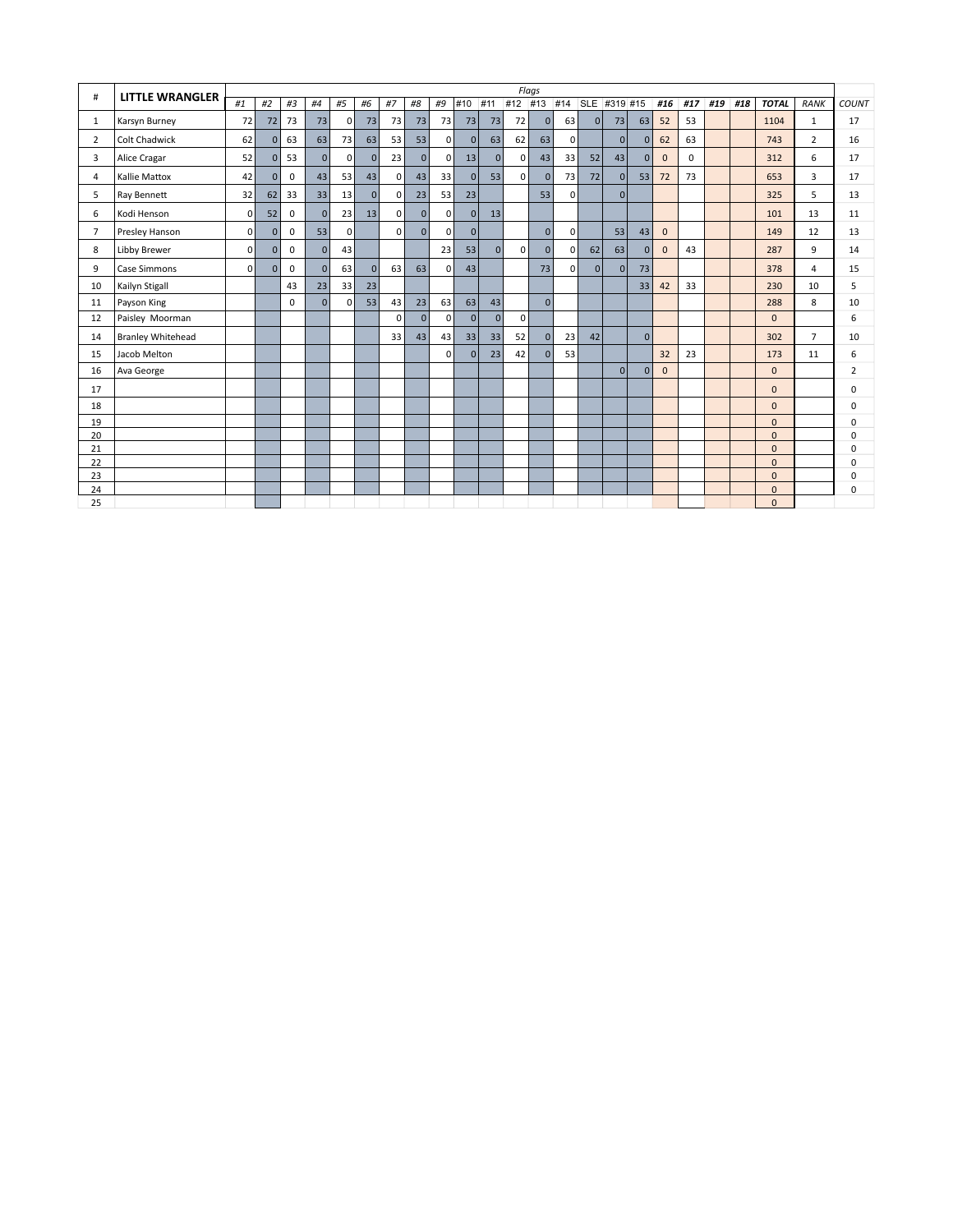| #              | <b>LITTLE WRANGLER</b> |              |                |             |    |              |              |                |          |                |              |              |                | Flags    |                |              |                |                |              |          |     |     |                          |                |              |
|----------------|------------------------|--------------|----------------|-------------|----|--------------|--------------|----------------|----------|----------------|--------------|--------------|----------------|----------|----------------|--------------|----------------|----------------|--------------|----------|-----|-----|--------------------------|----------------|--------------|
|                |                        | #1           | #2             | #3          | #4 | #5           | #6           | #7             | #8       | #9             | #10          | #11          | #12 #13        |          | #14            |              | SLE #319 #15   |                | #16          | #17      | #19 | #18 | <b>TOTAL</b>             | <b>RANK</b>    | <b>COUNT</b> |
| 1              | Karsyn Burney          | 72           | 72             | 73          | 73 | $\mathbf 0$  | 73           | 73             | 73       | 73             | 73           | 73           | 72             | 0        | 63             | 0            | 73             | 63             | 52           | 53       |     |     | 1104                     | $\mathbf{1}$   | 17           |
| $\overline{2}$ | <b>Colt Chadwick</b>   | 62           | $\overline{0}$ | 63          | 63 | 73           | 63           | 53             | 53       | $\overline{0}$ | 0            | 63           | 62             | 63       | $\overline{0}$ |              | $\overline{0}$ | $\mathbf{0}$   | 62           | 63       |     |     | 743                      | $\overline{2}$ | 16           |
| 3              | Alice Cragar           | 52           | $\Omega$       | 53          | 0  | $\mathbf{0}$ | $\Omega$     | 23             | 0        | $\Omega$       | 13           | $\mathbf{0}$ | $\Omega$       | 43       | 33             | 52           | 43             | 0              | $\Omega$     | $\Omega$ |     |     | 312                      | 6              | 17           |
| 4              | Kallie Mattox          | 42           | $\overline{0}$ | $\mathbf 0$ | 43 | 53           | 43           | 0              | 43       | 33             | 0            | 53           | $\overline{0}$ | 0        | 73             | 72           | $\overline{0}$ | 53             | 72           | 73       |     |     | 653                      | 3              | 17           |
| 5              | Ray Bennett            | 32           | 62             | 33          | 33 | 13           | $\mathbf{0}$ | 0              | 23       | 53             | 23           |              |                | 53       | $\overline{0}$ |              | $\overline{0}$ |                |              |          |     |     | 325                      | 5.             | 13           |
| 6              | Kodi Henson            | 0            | 52             | $\mathbf 0$ | 0  | 23           | 13           | 0              | 0        | 0              | 0            | 13           |                |          |                |              |                |                |              |          |     |     | 101                      | 13             | 11           |
| $\overline{7}$ | Presley Hanson         | $\mathbf{0}$ | $\Omega$       | $\mathbf 0$ | 53 | $\mathbf 0$  |              | $\Omega$       | $\Omega$ | $\Omega$       | 0            |              |                | 0        | $\overline{0}$ |              | 53             | 43             | $\mathbf{0}$ |          |     |     | 149                      | 12             | 13           |
| 8              | Libby Brewer           | $\mathbf{0}$ | $\overline{0}$ | $\mathbf 0$ | 0  | 43           |              |                |          | 23             | 53           | $\mathbf{0}$ | 0              | 0        | $\overline{0}$ | 62           | 63             | $\mathbf{0}$   | $\mathbf{0}$ | 43       |     |     | 287                      | 9              | 14           |
| 9              | Case Simmons           | $\mathbf{0}$ | $\overline{0}$ | 0           | 0  | 63           | $\mathbf{0}$ | 63             | 63       | 0              | 43           |              |                | 73       | $\overline{0}$ | $\mathbf{0}$ | $\overline{0}$ | 73             |              |          |     |     | 378                      | 4              | 15           |
| 10             | Kailyn Stigall         |              |                | 43          | 23 | 33           | 23           |                |          |                |              |              |                |          |                |              |                | 33             | 42           | 33       |     |     | 230                      | 10             | 5            |
| 11             | Payson King            |              |                | 0           | 0  | $\mathbf 0$  | 53           | 43             | 23       | 63             | 63           | 43           |                | $\Omega$ |                |              |                |                |              |          |     |     | 288                      | 8              | 10           |
| 12             | Paisley Moorman        |              |                |             |    |              |              | $\overline{0}$ | 0        | 0              | 0            | $\mathbf{0}$ | $\overline{0}$ |          |                |              |                |                |              |          |     |     | $\mathbf{0}$             |                | 6            |
| 14             | Branley Whitehead      |              |                |             |    |              |              | 33             | 43       | 43             | 33           | 33           | 52             | 0        | 23             | 42           |                | 0              |              |          |     |     | 302                      | $\overline{7}$ | 10           |
| 15             | Jacob Melton           |              |                |             |    |              |              |                |          | 0              | $\mathbf{0}$ | 23           | 42             | 0        | 53             |              |                |                | 32           | 23       |     |     | 173                      | 11             | 6            |
| 16             | Ava George             |              |                |             |    |              |              |                |          |                |              |              |                |          |                |              | $\mathbf{0}$   | $\overline{0}$ | $\mathbf{0}$ |          |     |     | $\mathbf{0}$             |                | 2            |
| 17             |                        |              |                |             |    |              |              |                |          |                |              |              |                |          |                |              |                |                |              |          |     |     | $\mathbf{0}$             |                | 0            |
| 18             |                        |              |                |             |    |              |              |                |          |                |              |              |                |          |                |              |                |                |              |          |     |     | $\mathbf{0}$             |                | $\Omega$     |
| 19             |                        |              |                |             |    |              |              |                |          |                |              |              |                |          |                |              |                |                |              |          |     |     | $\mathbf 0$              |                | $\Omega$     |
| 20             |                        |              |                |             |    |              |              |                |          |                |              |              |                |          |                |              |                |                |              |          |     |     | $\mathbf{0}$             |                | $\Omega$     |
| 21             |                        |              |                |             |    |              |              |                |          |                |              |              |                |          |                |              |                |                |              |          |     |     | $\mathbf{0}$             |                | $\Omega$     |
| 22             |                        |              |                |             |    |              |              |                |          |                |              |              |                |          |                |              |                |                |              |          |     |     | $\Omega$                 |                | $\Omega$     |
| 23             |                        |              |                |             |    |              |              |                |          |                |              |              |                |          |                |              |                |                |              |          |     |     | $\mathbf{0}$             |                | $\Omega$     |
| 24<br>25       |                        |              |                |             |    |              |              |                |          |                |              |              |                |          |                |              |                |                |              |          |     |     | $\mathbf{0}$<br>$\Omega$ |                | $\Omega$     |
|                |                        |              |                |             |    |              |              |                |          |                |              |              |                |          |                |              |                |                |              |          |     |     |                          |                |              |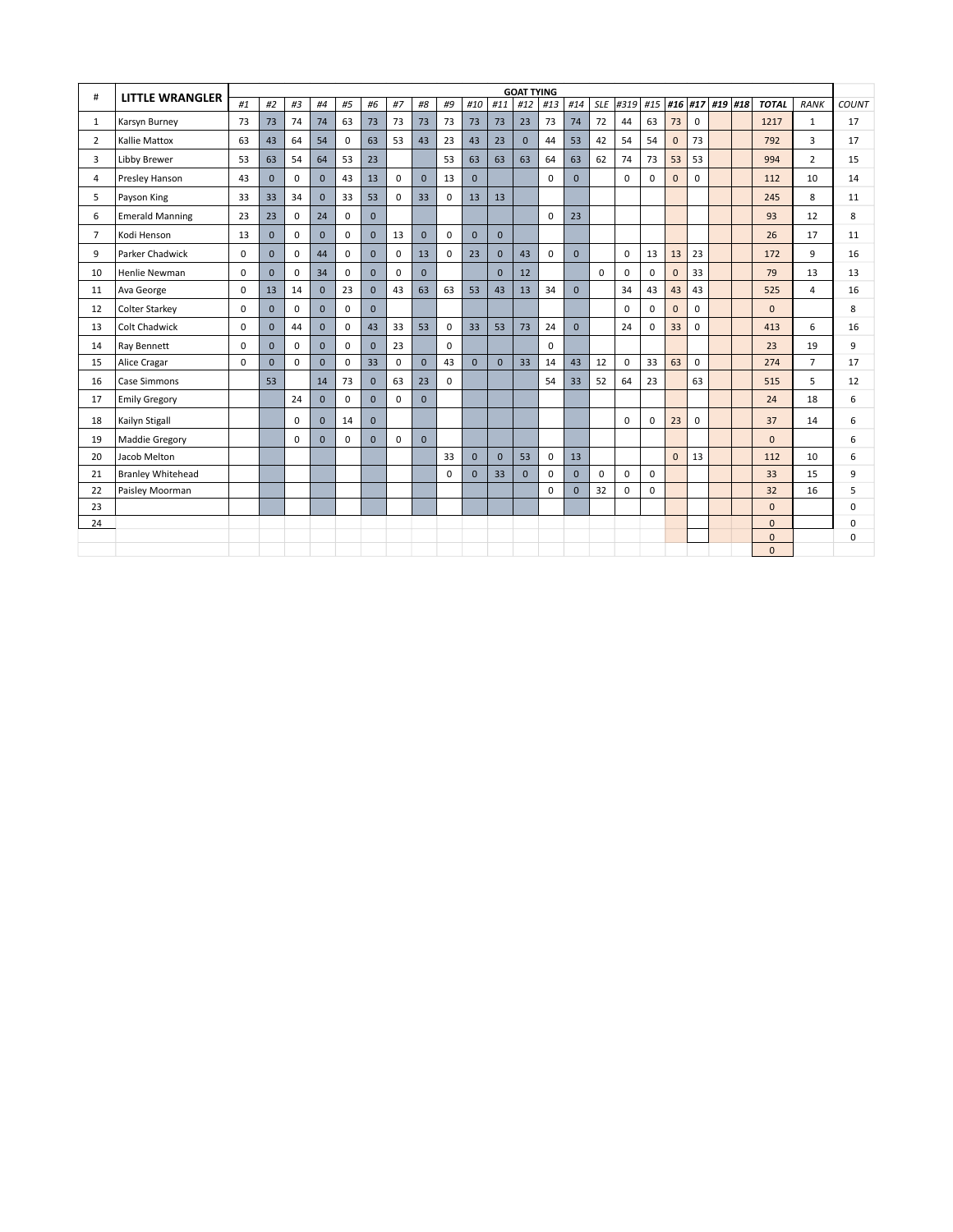| #              | <b>LITTLE WRANGLER</b>   |          |              |             |                |             |              |             |              |             |              |              | <b>GOAT TYING</b> |             |              |             |             |             |              |              |         |              |                |       |
|----------------|--------------------------|----------|--------------|-------------|----------------|-------------|--------------|-------------|--------------|-------------|--------------|--------------|-------------------|-------------|--------------|-------------|-------------|-------------|--------------|--------------|---------|--------------|----------------|-------|
|                |                          | #1       | #2           | #3          | #4             | #5          | #6           | #7          | #8           | #9          | #10          | #11          | #12               | #13         | #14          | <b>SLE</b>  | #319        | #15         |              | #16 #17      | #19 #18 | <b>TOTAL</b> | <b>RANK</b>    | COUNT |
| 1              | Karsyn Burney            | 73       | 73           | 74          | 74             | 63          | 73           | 73          | 73           | 73          | 73           | 73           | 23                | 73          | 74           | 72          | 44          | 63          | 73           | $\mathbf 0$  |         | 1217         | $\mathbf{1}$   | 17    |
| $\overline{2}$ | <b>Kallie Mattox</b>     | 63       | 43           | 64          | 54             | $\mathbf 0$ | 63           | 53          | 43           | 23          | 43           | 23           | $\mathbf{0}$      | 44          | 53           | 42          | 54          | 54          | $\mathbf{0}$ | 73           |         | 792          | $\overline{3}$ | 17    |
| 3              | Libby Brewer             | 53       | 63           | 54          | 64             | 53          | 23           |             |              | 53          | 63           | 63           | 63                | 64          | 63           | 62          | 74          | 73          | 53           | 53           |         | 994          | $\overline{2}$ | 15    |
| 4              | Presley Hanson           | 43       | $\mathbf{0}$ | 0           | $\overline{0}$ | 43          | 13           | $\mathbf 0$ | $\mathbf{0}$ | 13          | $\mathbf{0}$ |              |                   | $\mathbf 0$ | $\Omega$     |             | $\mathbf 0$ | 0           | $\mathbf{0}$ | $\mathbf{0}$ |         | 112          | 10             | 14    |
| 5              | Payson King              | 33       | 33           | 34          | $\overline{0}$ | 33          | 53           | $\Omega$    | 33           | $\Omega$    | 13           | 13           |                   |             |              |             |             |             |              |              |         | 245          | 8              | 11    |
| 6              | <b>Emerald Manning</b>   | 23       | 23           | $\mathbf 0$ | 24             | $\mathbf 0$ | $\Omega$     |             |              |             |              |              |                   | $\Omega$    | 23           |             |             |             |              |              |         | 93           | 12             | 8     |
| $\overline{7}$ | Kodi Henson              | 13       | $\mathbf{0}$ | 0           | $\mathbf{0}$   | $\mathbf 0$ | $\Omega$     | 13          | $\mathbf{0}$ | $\Omega$    | $\mathbf{0}$ | $\mathbf{0}$ |                   |             |              |             |             |             |              |              |         | 26           | 17             | 11    |
| 9              | Parker Chadwick          | $\Omega$ | $\mathbf{0}$ | $\Omega$    | 44             | $\mathbf 0$ | $\Omega$     | $\mathbf 0$ | 13           | $\Omega$    | 23           | $\mathbf{0}$ | 43                | $\mathbf 0$ | $\Omega$     |             | $\Omega$    | 13          | 13           | 23           |         | 172          | 9              | 16    |
| 10             | Henlie Newman            | $\Omega$ | $\Omega$     | $\Omega$    | 34             | $\mathbf 0$ | $\Omega$     | $\Omega$    | $\mathbf{0}$ |             |              | $\Omega$     | 12                |             |              | $\Omega$    | $\Omega$    | $\Omega$    | $\mathbf{0}$ | 33           |         | 79           | 13             | 13    |
| 11             | Ava George               | $\Omega$ | 13           | 14          | $\mathbf{0}$   | 23          | $\Omega$     | 43          | 63           | 63          | 53           | 43           | 13                | 34          | $\Omega$     |             | 34          | 43          | 43           | 43           |         | 525          | 4              | 16    |
| 12             | <b>Colter Starkey</b>    | $\Omega$ | $\mathbf{0}$ | $\mathbf 0$ | $\Omega$       | $\mathbf 0$ | $\Omega$     |             |              |             |              |              |                   |             |              |             | $\Omega$    | $\mathbf 0$ | $\mathbf{0}$ | $\Omega$     |         | $\Omega$     |                | 8     |
| 13             | <b>Colt Chadwick</b>     | $\Omega$ | $\mathbf{0}$ | 44          | $\mathbf{0}$   | $\mathbf 0$ | 43           | 33          | 53           | $\mathbf 0$ | 33           | 53           | 73                | 24          | $\Omega$     |             | 24          | $\mathbf 0$ | 33           | $\Omega$     |         | 413          | 6              | 16    |
| 14             | Ray Bennett              | $\Omega$ | $\mathbf{0}$ | $\Omega$    | $\Omega$       | $\mathbf 0$ | $\Omega$     | 23          |              | $\Omega$    |              |              |                   | $\mathbf 0$ |              |             |             |             |              |              |         | 23           | 19             | 9     |
| 15             | Alice Cragar             | $\Omega$ | $\mathbf{0}$ | $\Omega$    | $\Omega$       | $\mathbf 0$ | 33           | $\mathbf 0$ | $\mathbf{0}$ | 43          | $\Omega$     | $\Omega$     | 33                | 14          | 43           | 12          | $\mathbf 0$ | 33          | 63           | $\mathbf 0$  |         | 274          | $\overline{7}$ | 17    |
| 16             | Case Simmons             |          | 53           |             | 14             | 73          | $\Omega$     | 63          | 23           | $\Omega$    |              |              |                   | 54          | 33           | 52          | 64          | 23          |              | 63           |         | 515          | 5              | 12    |
| 17             | <b>Emily Gregory</b>     |          |              | 24          | $\Omega$       | $\mathbf 0$ | $\Omega$     | $\Omega$    | $\mathbf{0}$ |             |              |              |                   |             |              |             |             |             |              |              |         | 24           | 18             | 6     |
| 18             | Kailyn Stigall           |          |              | $\mathbf 0$ | $\mathbf{0}$   | 14          | $\mathbf{0}$ |             |              |             |              |              |                   |             |              |             | $\mathbf 0$ | 0           | 23           | $\mathbf 0$  |         | 37           | 14             | 6     |
| 19             | Maddie Gregory           |          |              | $\Omega$    | $\Omega$       | $\mathbf 0$ | $\Omega$     | $\mathbf 0$ | $\mathbf{0}$ |             |              |              |                   |             |              |             |             |             |              |              |         | $\Omega$     |                | 6     |
| 20             | Jacob Melton             |          |              |             |                |             |              |             |              | 33          | $\mathbf{0}$ | $\Omega$     | 53                | $\mathbf 0$ | 13           |             |             |             | $\mathbf{0}$ | 13           |         | 112          | 10             | 6     |
| 21             | <b>Branley Whitehead</b> |          |              |             |                |             |              |             |              | $\mathbf 0$ | $\mathbf{0}$ | 33           | $\mathbf{0}$      | $\mathbf 0$ | $\Omega$     | $\mathbf 0$ | 0           | $\mathbf 0$ |              |              |         | 33           | 15             | 9     |
| 22             | Paisley Moorman          |          |              |             |                |             |              |             |              |             |              |              |                   | $\mathbf 0$ | $\mathbf{0}$ | 32          | 0           | 0           |              |              |         | 32           | 16             | 5     |
| 23             |                          |          |              |             |                |             |              |             |              |             |              |              |                   |             |              |             |             |             |              |              |         | $\mathbf{0}$ |                | 0     |
| 24             |                          |          |              |             |                |             |              |             |              |             |              |              |                   |             |              |             |             |             |              |              |         | $\mathbf{0}$ |                | 0     |
|                |                          |          |              |             |                |             |              |             |              |             |              |              |                   |             |              |             |             |             |              |              |         | $\mathbf{0}$ |                | 0     |
|                |                          |          |              |             |                |             |              |             |              |             |              |              |                   |             |              |             |             |             |              |              |         | $\mathbf{0}$ |                |       |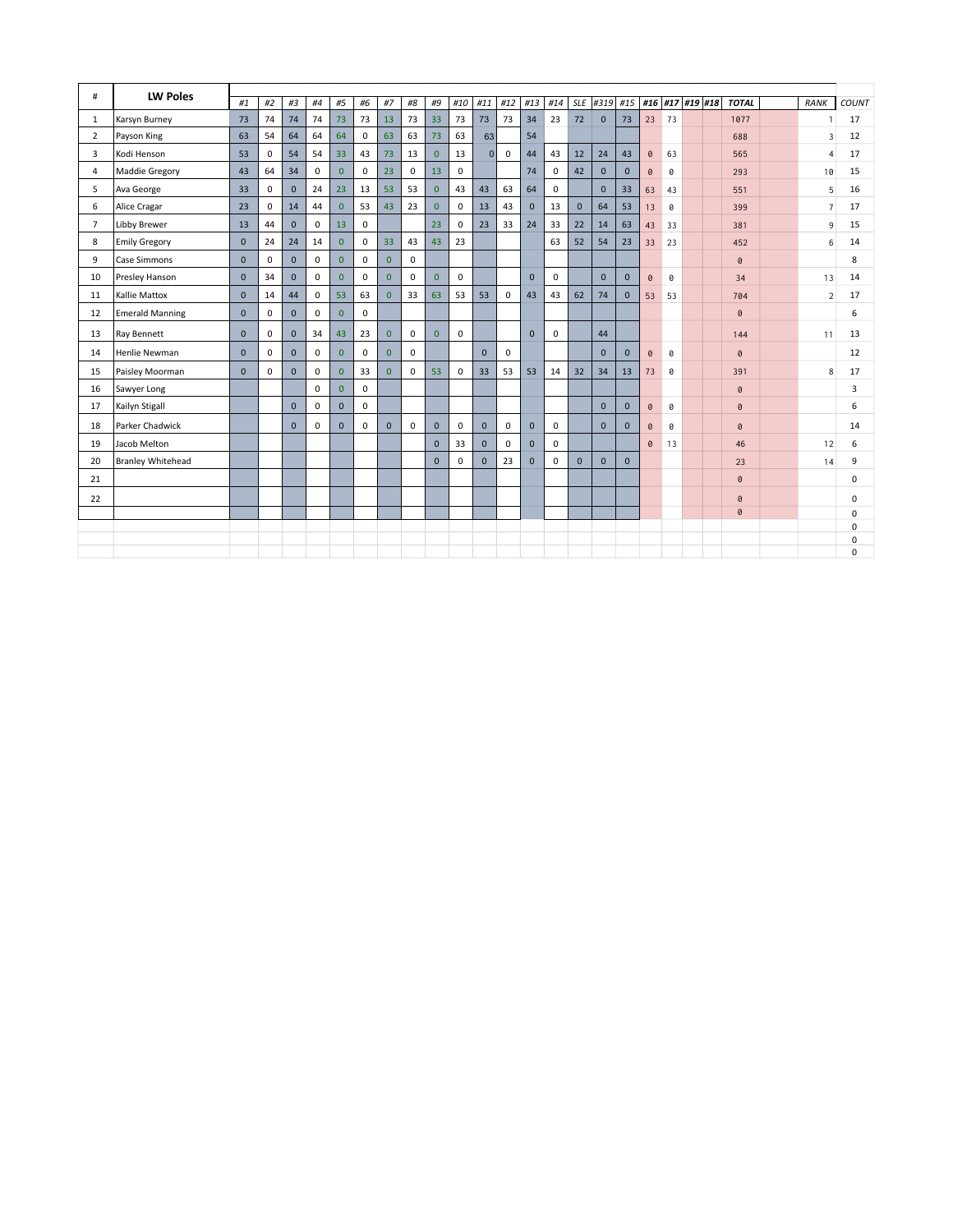| #              | <b>LW Poles</b>          |              |             |                |             |                |             |                |             |                |             |              |             |              |             |              |              |              |                 |    |  |                |                |             |
|----------------|--------------------------|--------------|-------------|----------------|-------------|----------------|-------------|----------------|-------------|----------------|-------------|--------------|-------------|--------------|-------------|--------------|--------------|--------------|-----------------|----|--|----------------|----------------|-------------|
|                |                          | #1           | #2          | #3             | #4          | #5             | #6          | #7             | $\#8$       | #9             | #10         | #11          | #12         | #13          | #14         |              | SLE #319 #15 |              | #16 #17 #19 #18 |    |  | <b>TOTAL</b>   | <b>RANK</b>    | COUNT       |
| -1             | Karsyn Burney            | 73           | 74          | 74             | 74          | 73             | 73          | 13             | 73          | 33             | 73          | 73           | 73          | 34           | 23          | 72           | $\mathbf 0$  | 73           | 23              | 73 |  | 1077           | $\overline{1}$ | 17          |
| $\overline{2}$ | Payson King              | 63           | 54          | 64             | 64          | 64             | 0           | 63             | 63          | 73             | 63          | 63           |             | 54           |             |              |              |              |                 |    |  | 688            | $\overline{3}$ | 12          |
| 3              | Kodi Henson              | 53           | 0           | 54             | 54          | 33             | 43          | 73             | 13          | $\mathbf{0}$   | 13          | $\Omega$     | $\mathbf 0$ | 44           | 43          | 12           | 24           | 43           | $\theta$        | 63 |  | 565            | $\overline{4}$ | 17          |
| $\overline{4}$ | Maddie Gregory           | 43           | 64          | 34             | $\mathbf 0$ | $\mathbf{0}$   | 0           | 23             | $\mathbf 0$ | 13             | $\mathbf 0$ |              |             | 74           | $\mathbf 0$ | 42           | $\mathbf{0}$ | $\mathbf{0}$ | 0               | 0  |  | 293            | 10             | 15          |
| 5              | Ava George               | 33           | $\mathbf 0$ | $\mathbf{0}$   | 24          | 23             | 13          | 53             | 53          | $\mathbf{0}$   | 43          | 43           | 63          | 64           | 0           |              | $\mathbf{0}$ | 33           | 63              | 43 |  | 551            | 5              | 16          |
| 6              | Alice Cragar             | 23           | $\mathbf 0$ | 14             | 44          | $\overline{0}$ | 53          | 43             | 23          | $\mathbf{0}$   | $\mathbf 0$ | 13           | 43          | $\Omega$     | 13          | $\mathbf 0$  | 64           | 53           | 13              | 0  |  | 399            | $\overline{7}$ | 17          |
| $\overline{7}$ | Libby Brewer             | 13           | 44          | $\mathbf{0}$   | $\mathbf 0$ | 13             | 0           |                |             | 23             | $\mathbf 0$ | 23           | 33          | 24           | 33          | 22           | 14           | 63           | 43              | 33 |  | 381            | $9\,$          | 15          |
| 8              | <b>Emily Gregory</b>     | $\mathbf{0}$ | 24          | 24             | 14          | $\mathbf{0}$   | 0           | 33             | 43          | 43             | 23          |              |             |              | 63          | 52           | 54           | 23           | 33              | 23 |  | 452            | 6              | 14          |
| 9              | <b>Case Simmons</b>      | $\Omega$     | $\mathbf 0$ | $\Omega$       | $\mathbf 0$ | $\overline{0}$ | $\mathbf 0$ | $\overline{0}$ | $\mathbf 0$ |                |             |              |             |              |             |              |              |              |                 |    |  | $\theta$       |                | 8           |
| 10             | Presley Hanson           | $\mathbf{0}$ | 34          | $\mathbf{0}$   | $\mathbf 0$ | $\overline{0}$ | $\mathbf 0$ | $\overline{0}$ | $\mathbf 0$ | $\overline{0}$ | $\mathbf 0$ |              |             | $\mathbf{0}$ | $\mathbf 0$ |              | $\mathbf{0}$ | $\mathbf{0}$ | 0               | 0  |  | 34             | 13             | 14          |
| 11             | <b>Kallie Mattox</b>     | $\mathbf{0}$ | 14          | 44             | $\mathbf 0$ | 53             | 63          | $\overline{0}$ | 33          | 63             | 53          | 53           | $\mathbf 0$ | 43           | 43          | 62           | 74           | $\mathbf{0}$ | 53              | 53 |  | 704            | $\overline{2}$ | 17          |
| 12             | <b>Emerald Manning</b>   | $\Omega$     | $\mathbf 0$ | $\mathbf{0}$   | $\mathbf 0$ | $\overline{0}$ | 0           |                |             |                |             |              |             |              |             |              |              |              |                 |    |  | $\pmb{\theta}$ |                | 6           |
| 13             | Ray Bennett              | $\Omega$     | $\mathbf 0$ | $\mathbf{0}$   | 34          | 43             | 23          | $\overline{0}$ | $\mathbf 0$ | $\overline{0}$ | $\mathbf 0$ |              |             | $\Omega$     | $\mathbf 0$ |              | 44           |              |                 |    |  | 144            | 11             | 13          |
| 14             | Henlie Newman            | $\Omega$     | $\mathbf 0$ | $\mathbf{0}$   | $\mathbf 0$ | $\overline{0}$ | $\mathbf 0$ | $\overline{0}$ | $\mathbf 0$ |                |             | $\mathbf{0}$ | $\mathbf 0$ |              |             |              | $\mathbf{0}$ | $\mathbf{0}$ | 0               | 0  |  | $\pmb{\Theta}$ |                | 12          |
| 15             | Paisley Moorman          | $\Omega$     | 0           | $\mathbf{0}$   | $\mathbf 0$ | $\Omega$       | 33          | $\overline{0}$ | $\mathbf 0$ | 53             | 0           | 33           | 53          | 53           | 14          | 32           | 34           | 13           | 73              | 0  |  | 391            | 8              | 17          |
| 16             | Sawyer Long              |              |             |                | $\mathbf 0$ | $\overline{0}$ | 0           |                |             |                |             |              |             |              |             |              |              |              |                 |    |  | $\pmb{\theta}$ |                | 3           |
| 17             | Kailyn Stigall           |              |             | $\mathbf{0}$   | $\mathbf 0$ | $\mathbf{0}$   | $\mathbf 0$ |                |             |                |             |              |             |              |             |              | $\mathbf{0}$ | $\mathbf{0}$ | 0               | 0  |  | $\pmb{\theta}$ |                | 6           |
| 18             | Parker Chadwick          |              |             | $\overline{0}$ | $\mathbf 0$ | $\mathbf{0}$   | $\mathbf 0$ | $\mathbf{0}$   | $\mathbf 0$ | $\mathbf{0}$   | $\mathbf 0$ | $\mathbf{0}$ | 0           | $\mathbf{0}$ | $\mathbf 0$ |              | $\mathbf{0}$ | $\mathbf{0}$ | 0               | 0  |  | $\pmb{\theta}$ |                | 14          |
| 19             | Jacob Melton             |              |             |                |             |                |             |                |             | $\mathbf{0}$   | 33          | $\mathbf{0}$ | $\mathbf 0$ | $\mathbf{0}$ | $\mathbf 0$ |              |              |              | 0               | 13 |  | 46             | 12             | 6           |
| 20             | <b>Branley Whitehead</b> |              |             |                |             |                |             |                |             | $\Omega$       | 0           | $\mathbf{0}$ | 23          | $\mathbf{0}$ | 0           | $\mathbf{0}$ | $\mathbf{0}$ | $\mathbf{0}$ |                 |    |  | 23             | 14             | 9           |
| 21             |                          |              |             |                |             |                |             |                |             |                |             |              |             |              |             |              |              |              |                 |    |  | $\theta$       |                | 0           |
| 22             |                          |              |             |                |             |                |             |                |             |                |             |              |             |              |             |              |              |              |                 |    |  | $\pmb{\theta}$ |                | $\Omega$    |
|                |                          |              |             |                |             |                |             |                |             |                |             |              |             |              |             |              |              |              |                 |    |  | $\pmb{\theta}$ |                | $\mathbf 0$ |
|                |                          |              |             |                |             |                |             |                |             |                |             |              |             |              |             |              |              |              |                 |    |  |                |                | $\Omega$    |
|                |                          |              |             |                |             |                |             |                |             |                |             |              |             |              |             |              |              |              |                 |    |  |                |                | $\mathbf 0$ |
|                |                          |              |             |                |             |                |             |                |             |                |             |              |             |              |             |              |              |              |                 |    |  |                |                | $\Omega$    |